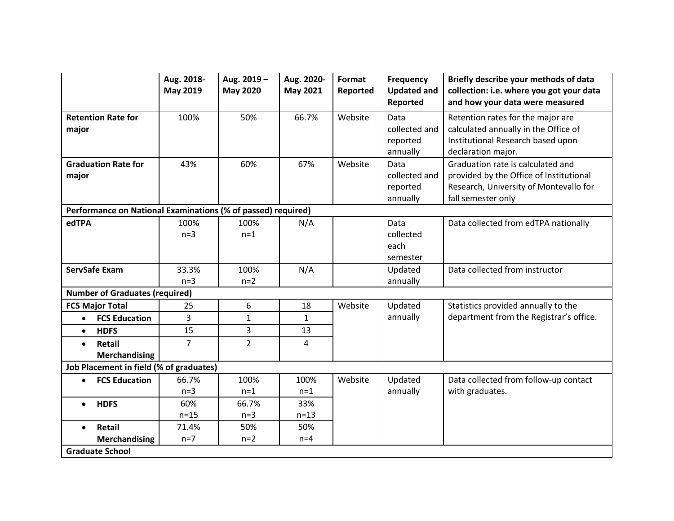|                                                              | Aug. 2018-<br>May 2019 | Aug. 2019-<br><b>May 2020</b> | Aug. 2020-<br>May 2021 | Format<br>Reported | Frequency<br><b>Updated and</b><br>Reported   | Briefly describe your methods of data<br>collection: i.e. where you got your data<br>and how your data were measured                         |  |  |  |
|--------------------------------------------------------------|------------------------|-------------------------------|------------------------|--------------------|-----------------------------------------------|----------------------------------------------------------------------------------------------------------------------------------------------|--|--|--|
| <b>Retention Rate for</b><br>major                           | 100%                   | 50%                           | 66.7%                  | Website            | Data<br>collected and<br>reported<br>annually | Retention rates for the major are<br>calculated annually in the Office of<br>Institutional Research based upon<br>declaration major.         |  |  |  |
| <b>Graduation Rate for</b><br>major                          | 43%                    | 60%                           | 67%                    | Website            | Data<br>collected and<br>reported<br>annually | Graduation rate is calculated and<br>provided by the Office of Institutional<br>Research, University of Montevallo for<br>fall semester only |  |  |  |
| Performance on National Examinations (% of passed) required) |                        |                               |                        |                    |                                               |                                                                                                                                              |  |  |  |
| edTPA                                                        | 100%<br>$n=3$          | 100%<br>$n=1$                 | N/A                    |                    | Data<br>collected<br>each                     | Data collected from edTPA nationally                                                                                                         |  |  |  |
|                                                              |                        |                               |                        |                    | semester                                      |                                                                                                                                              |  |  |  |
| <b>ServSafe Exam</b>                                         | 33.3%<br>$n=3$         | 100%<br>$n=2$                 | N/A                    |                    | Updated<br>annually                           | Data collected from instructor                                                                                                               |  |  |  |
| <b>Number of Graduates (required)</b>                        |                        |                               |                        |                    |                                               |                                                                                                                                              |  |  |  |
| <b>FCS Major Total</b>                                       | 25                     | 6                             | 18                     | Website            | Updated                                       | Statistics provided annually to the                                                                                                          |  |  |  |
| <b>FCS Education</b><br>$\bullet$                            | 3                      | $\mathbf{1}$                  | $\mathbf{1}$           |                    | annually                                      | department from the Registrar's office.                                                                                                      |  |  |  |
| <b>HDFS</b><br>$\bullet$                                     | 15                     | 3                             | 13                     |                    |                                               |                                                                                                                                              |  |  |  |
| <b>Retail</b><br>$\bullet$<br><b>Merchandising</b>           | $\overline{7}$         | $\overline{2}$                | 4                      |                    |                                               |                                                                                                                                              |  |  |  |
| Job Placement in field (% of graduates)                      |                        |                               |                        |                    |                                               |                                                                                                                                              |  |  |  |
| <b>FCS Education</b><br>$\bullet$                            | 66.7%<br>$n=3$         | 100%<br>$n=1$                 | 100%<br>$n=1$          | Website            | Updated<br>annually                           | Data collected from follow-up contact<br>with graduates.                                                                                     |  |  |  |
| <b>HDFS</b><br>$\bullet$                                     | 60%<br>$n=15$          | 66.7%<br>$n=3$                | 33%<br>$n = 13$        |                    |                                               |                                                                                                                                              |  |  |  |
| Retail<br>$\bullet$<br><b>Merchandising</b>                  | 71.4%<br>$n=7$         | 50%<br>$n=2$                  | 50%<br>$n=4$           |                    |                                               |                                                                                                                                              |  |  |  |
| <b>Graduate School</b>                                       |                        |                               |                        |                    |                                               |                                                                                                                                              |  |  |  |